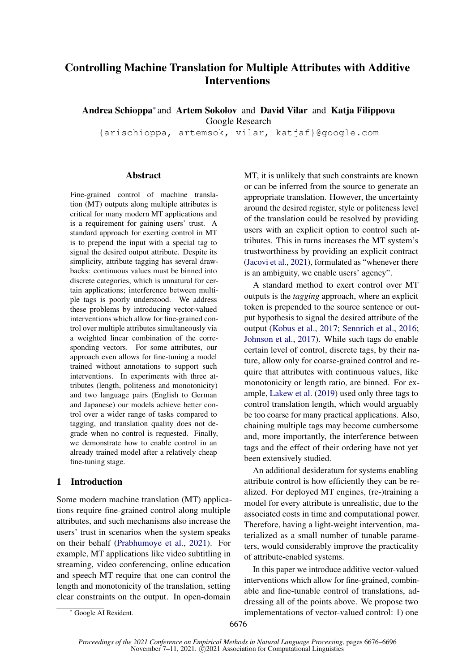# Controlling Machine Translation for Multiple Attributes with Additive **Interventions**

Andrea Schioppa<sup>∗</sup> and Artem Sokolov and David Vilar and Katja Filippova Google Research

{arischioppa, artemsok, vilar, katjaf}@google.com

## **Abstract**

Fine-grained control of machine translation (MT) outputs along multiple attributes is critical for many modern MT applications and is a requirement for gaining users' trust. A standard approach for exerting control in MT is to prepend the input with a special tag to signal the desired output attribute. Despite its simplicity, attribute tagging has several drawbacks: continuous values must be binned into discrete categories, which is unnatural for certain applications; interference between multiple tags is poorly understood. We address these problems by introducing vector-valued interventions which allow for fine-grained control over multiple attributes simultaneously via a weighted linear combination of the corresponding vectors. For some attributes, our approach even allows for fine-tuning a model trained without annotations to support such interventions. In experiments with three attributes (length, politeness and monotonicity) and two language pairs (English to German and Japanese) our models achieve better control over a wider range of tasks compared to tagging, and translation quality does not degrade when no control is requested. Finally, we demonstrate how to enable control in an already trained model after a relatively cheap fine-tuning stage.

# 1 Introduction

Some modern machine translation (MT) applications require fine-grained control along multiple attributes, and such mechanisms also increase the users' trust in scenarios when the system speaks on their behalf [\(Prabhumoye et al.,](#page-9-0) [2021\)](#page-9-0). For example, MT applications like video subtitling in streaming, video conferencing, online education and speech MT require that one can control the length and monotonicity of the translation, setting clear constraints on the output. In open-domain

MT, it is unlikely that such constraints are known or can be inferred from the source to generate an appropriate translation. However, the uncertainty around the desired register, style or politeness level of the translation could be resolved by providing users with an explicit option to control such attributes. This in turns increases the MT system's trustworthiness by providing an explicit contract [\(Jacovi et al.,](#page-9-1) [2021\)](#page-9-1), formulated as "whenever there is an ambiguity, we enable users' agency".

A standard method to exert control over MT outputs is the *tagging* approach, where an explicit token is prepended to the source sentence or output hypothesis to signal the desired attribute of the output [\(Kobus et al.,](#page-9-2) [2017;](#page-9-2) [Sennrich et al.,](#page-9-3) [2016;](#page-9-3) [Johnson et al.,](#page-9-4) [2017\)](#page-9-4). While such tags do enable certain level of control, discrete tags, by their nature, allow only for coarse-grained control and require that attributes with continuous values, like monotonicity or length ratio, are binned. For example, [Lakew et al.](#page-9-5) [\(2019\)](#page-9-5) used only three tags to control translation length, which would arguably be too coarse for many practical applications. Also, chaining multiple tags may become cumbersome and, more importantly, the interference between tags and the effect of their ordering have not yet been extensively studied.

An additional desideratum for systems enabling attribute control is how efficiently they can be realized. For deployed MT engines, (re-)training a model for every attribute is unrealistic, due to the associated costs in time and computational power. Therefore, having a light-weight intervention, materialized as a small number of tunable parameters, would considerably improve the practicality of attribute-enabled systems.

In this paper we introduce additive vector-valued interventions which allow for fine-grained, combinable and fine-tunable control of translations, addressing all of the points above. We propose two implementations of vector-valued control: 1) one

<sup>∗</sup> Google AI Resident.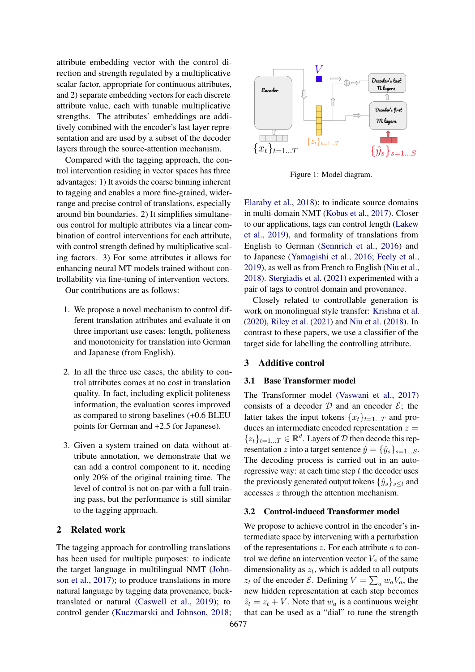attribute embedding vector with the control direction and strength regulated by a multiplicative scalar factor, appropriate for continuous attributes, and 2) separate embedding vectors for each discrete attribute value, each with tunable multiplicative strengths. The attributes' embeddings are additively combined with the encoder's last layer representation and are used by a subset of the decoder layers through the source-attention mechanism.

Compared with the tagging approach, the control intervention residing in vector spaces has three advantages: 1) It avoids the coarse binning inherent to tagging and enables a more fine-grained, widerrange and precise control of translations, especially around bin boundaries. 2) It simplifies simultaneous control for multiple attributes via a linear combination of control interventions for each attribute, with control strength defined by multiplicative scaling factors. 3) For some attributes it allows for enhancing neural MT models trained without controllability via fine-tuning of intervention vectors.

Our contributions are as follows:

- 1. We propose a novel mechanism to control different translation attributes and evaluate it on three important use cases: length, politeness and monotonicity for translation into German and Japanese (from English).
- 2. In all the three use cases, the ability to control attributes comes at no cost in translation quality. In fact, including explicit politeness information, the evaluation scores improved as compared to strong baselines (+0.6 BLEU points for German and +2.5 for Japanese).
- 3. Given a system trained on data without attribute annotation, we demonstrate that we can add a control component to it, needing only 20% of the original training time. The level of control is not on-par with a full training pass, but the performance is still similar to the tagging approach.

## 2 Related work

The tagging approach for controlling translations has been used for multiple purposes: to indicate the target language in multilingual NMT [\(John](#page-9-4)[son et al.,](#page-9-4) [2017\)](#page-9-4); to produce translations in more natural language by tagging data provenance, backtranslated or natural [\(Caswell et al.,](#page-9-6) [2019\)](#page-9-6); to control gender [\(Kuczmarski and Johnson,](#page-9-7) [2018;](#page-9-7)

<span id="page-1-0"></span>

Figure 1: Model diagram.

[Elaraby et al.,](#page-9-8) [2018\)](#page-9-8); to indicate source domains in multi-domain NMT [\(Kobus et al.,](#page-9-2) [2017\)](#page-9-2). Closer to our applications, tags can control length [\(Lakew](#page-9-5) [et al.,](#page-9-5) [2019\)](#page-9-5), and formality of translations from English to German [\(Sennrich et al.,](#page-9-3) [2016\)](#page-9-3) and to Japanese [\(Yamagishi et al.,](#page-9-9) [2016;](#page-9-9) [Feely et al.,](#page-9-10) [2019\)](#page-9-10), as well as from French to English [\(Niu et al.,](#page-9-11) [2018\)](#page-9-11). [Stergiadis et al.](#page-9-12) [\(2021\)](#page-9-12) experimented with a pair of tags to control domain and provenance.

Closely related to controllable generation is work on monolingual style transfer: [Krishna et al.](#page-9-13) [\(2020\)](#page-9-13), [Riley et al.](#page-9-14) [\(2021\)](#page-9-14) and [Niu et al.](#page-9-11) [\(2018\)](#page-9-11). In contrast to these papers, we use a classifier of the target side for labelling the controlling attribute.

# 3 Additive control

#### 3.1 Base Transformer model

The Transformer model [\(Vaswani et al.,](#page-9-15) [2017\)](#page-9-15) consists of a decoder  $D$  and an encoder  $E$ ; the latter takes the input tokens  $\{x_t\}_{t=1...T}$  and produces an intermediate encoded representation  $z =$  $\{z_t\}_{t=1...T} \in \mathbb{R}^d$ . Layers of  $\mathcal D$  then decode this representation z into a target sentence  $\hat{y} = {\hat{y}_s}_{s=1...S}$ . The decoding process is carried out in an autoregressive way: at each time step  $t$  the decoder uses the previously generated output tokens  $\{\hat{y}_s\}_{s\leq t}$  and accesses z through the attention mechanism.

## 3.2 Control-induced Transformer model

We propose to achieve control in the encoder's intermediate space by intervening with a perturbation of the representations  $z$ . For each attribute  $a$  to control we define an intervention vector  $V_a$  of the same dimensionality as  $z_t$ , which is added to all outputs  $z_t$  of the encoder  $\mathcal{E}$ . Defining  $V = \sum_a w_a V_a$ , the new hidden representation at each step becomes  $\tilde{z}_t = z_t + V$ . Note that  $w_a$  is a continuous weight that can be used as a "dial" to tune the strength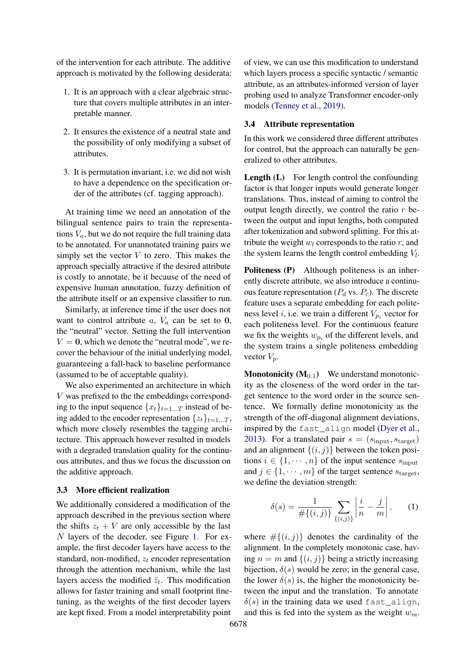of the intervention for each attribute. The additive approach is motivated by the following desiderata:

- 1. It is an approach with a clear algebraic structure that covers multiple attributes in an interpretable manner.
- 2. It ensures the existence of a neutral state and the possibility of only modifying a subset of attributes.
- 3. It is permutation invariant, i.e. we did not wish to have a dependence on the specification order of the attributes (cf. tagging approach).

At training time we need an annotation of the bilingual sentence pairs to train the representations  $V_a$ , but we do not require the full training data to be annotated. For unannotated training pairs we simply set the vector  $V$  to zero. This makes the approach specially attractive if the desired attribute is costly to annotate, be it because of the need of expensive human annotation, fuzzy definition of the attribute itself or an expensive classifier to run.

Similarly, at inference time if the user does not want to control attribute  $a, V_a$  can be set to 0, the "neutral" vector. Setting the full intervention  $V = 0$ , which we denote the "neutral mode", we recover the behaviour of the initial underlying model, guaranteeing a fall-back to baseline performance (assumed to be of acceptable quality).

We also experimented an architecture in which V was prefixed to the the embeddings corresponding to the input sequence  $\{x_t\}_{t=1...T}$  instead of being added to the encoder representation  $\{z_t\}_{t=1...T}$ , which more closely resembles the tagging architecture. This approach however resulted in models with a degraded translation quality for the continuous attributes, and thus we focus the discussion on the additive approach.

#### 3.3 More efficient realization

We additionally considered a modification of the approach described in the previous section where the shifts  $z_t + V$  are only accessible by the last N layers of the decoder, see Figure [1.](#page-1-0) For example, the first decoder layers have access to the standard, non-modified,  $z_t$  encoder representation through the attention mechanism, while the last layers access the modified  $\tilde{z}_t$ . This modification allows for faster training and small footprint finetuning, as the weights of the first decoder layers are kept fixed. From a model interpretability point

of view, we can use this modification to understand which layers process a specific syntactic / semantic attribute, as an attributes-informed version of layer probing used to analyze Transformer encoder-only models [\(Tenney et al.,](#page-9-16) [2019\)](#page-9-16).

#### 3.4 Attribute representation

In this work we considered three different attributes for control, but the approach can naturally be generalized to other attributes.

Length (L) For length control the confounding factor is that longer inputs would generate longer translations. Thus, instead of aiming to control the output length directly, we control the ratio  $r$  between the output and input lengths, both computed after tokenization and subword splitting. For this attribute the weight  $w_l$  corresponds to the ratio  $r$ , and the system learns the length control embedding  $V_l$ .

Politeness (P) Although politeness is an inherently discrete attribute, we also introduce a continuous feature representation ( $P_d$  vs.  $P_c$ ). The discrete feature uses a separate embedding for each politeness level *i*, i.e. we train a different  $V_{p_i}$  vector for each politeness level. For the continuous feature we fix the weights  $w_{p_i}$  of the different levels, and the system trains a single politeness embedding vector  $V_p$ .

**Monotonicity**  $(M_{0.1})$  We understand monotonicity as the closeness of the word order in the target sentence to the word order in the source sentence. We formally define monotonicity as the strength of the off-diagonal alignment deviations, inspired by the fast\_align model [\(Dyer et al.,](#page-9-17) [2013\)](#page-9-17). For a translated pair  $s = (s_{input}, s_{target})$ and an alignment  $\{(i, j)\}\$  between the token positions  $i \in \{1, \dots, n\}$  of the input sentence  $s_{\text{input}}$ and  $j \in \{1, \dots, m\}$  of the target sentence  $s_{\text{target}}$ , we define the deviation strength:

<span id="page-2-0"></span>
$$
\delta(s) = \frac{1}{\#\{(i,j)\}} \sum_{\{(i,j)\}} \left| \frac{i}{n} - \frac{j}{m} \right|, \qquad (1)
$$

where  $\#\{(i,j)\}\$  denotes the cardinality of the alignment. In the completely monotonic case, having  $n = m$  and  $\{(i, j)\}\$ being a strictly increasing bijection,  $\delta(s)$  would be zero; in the general case, the lower  $\delta(s)$  is, the higher the monotonicity between the input and the translation. To annotate  $\delta(s)$  in the training data we used fast align, and this is fed into the system as the weight  $w_m$ .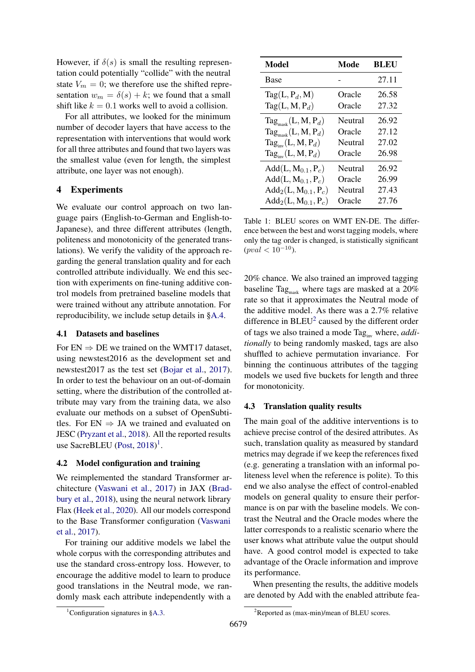However, if  $\delta(s)$  is small the resulting representation could potentially "collide" with the neutral state  $V_m = 0$ ; we therefore use the shifted representation  $w_m = \delta(s) + k$ ; we found that a small shift like  $k = 0.1$  works well to avoid a collision.

For all attributes, we looked for the minimum number of decoder layers that have access to the representation with interventions that would work for all three attributes and found that two layers was the smallest value (even for length, the simplest attribute, one layer was not enough).

# 4 Experiments

We evaluate our control approach on two language pairs (English-to-German and English-to-Japanese), and three different attributes (length, politeness and monotonicity of the generated translations). We verify the validity of the approach regarding the general translation quality and for each controlled attribute individually. We end this section with experiments on fine-tuning additive control models from pretrained baseline models that were trained without any attribute annotation. For reproducibility, we include setup details in [§A.4.](#page-10-0)

#### 4.1 Datasets and baselines

For  $EN \Rightarrow DE$  we trained on the WMT17 dataset, using newstest2016 as the development set and newstest2017 as the test set [\(Bojar et al.,](#page-9-18) [2017\)](#page-9-18). In order to test the behaviour on an out-of-domain setting, where the distribution of the controlled attribute may vary from the training data, we also evaluate our methods on a subset of OpenSubtitles. For  $EN \Rightarrow JA$  we trained and evaluated on JESC [\(Pryzant et al.,](#page-9-19) [2018\)](#page-9-19). All the reported results use SacreBLEU [\(Post,](#page-9-20) [2018\)](#page-9-20)<sup>[1](#page-3-0)</sup>.

#### 4.2 Model configuration and training

We reimplemented the standard Transformer architecture [\(Vaswani et al.,](#page-9-15) [2017\)](#page-9-15) in JAX [\(Brad](#page-9-21)[bury et al.,](#page-9-21) [2018\)](#page-9-21), using the neural network library Flax [\(Heek et al.,](#page-9-22) [2020\)](#page-9-22). All our models correspond to the Base Transformer configuration [\(Vaswani](#page-9-15) [et al.,](#page-9-15) [2017\)](#page-9-15).

For training our additive models we label the whole corpus with the corresponding attributes and use the standard cross-entropy loss. However, to encourage the additive model to learn to produce good translations in the Neutral mode, we randomly mask each attribute independently with a

<span id="page-3-2"></span>

| <b>Model</b>                          | Mode    | BLEU  |
|---------------------------------------|---------|-------|
| Base                                  |         | 27.11 |
| $Tag(L, P_d, M)$                      | Oracle  | 26.58 |
| $Tag(L, M, P_d)$                      | Oracle  | 27.32 |
| $\text{Tag}_{\text{mask}}(L, M, P_d)$ | Neutral | 26.92 |
| $\text{Tag}_{\text{mask}}(L, M, P_d)$ | Oracle  | 27.12 |
| $\text{Tag}_{\text{inv}}(L, M, P_d)$  | Neutral | 27.02 |
| $\text{Tag}_{\text{inv}}(L, M, P_d)$  | Oracle  | 26.98 |
| $Add(L, M_{0.1}, P_c)$                | Neutral | 26.92 |
| $Add(L, M_{0.1}, P_c)$                | Oracle  | 26.99 |
| $Add_2(L, M_{0.1}, P_c)$              | Neutral | 27.43 |
| $Add_2(L, M_{0.1}, P_c)$              | Oracle  | 27.76 |

Table 1: BLEU scores on WMT EN-DE. The difference between the best and worst tagging models, where only the tag order is changed, is statistically significant  $(pval < 10^{-10}).$ 

20% chance. We also trained an improved tagging baseline Tag<sub>mask</sub> where tags are masked at a  $20\%$ rate so that it approximates the Neutral mode of the additive model. As there was a 2.7% relative difference in  $BLEU^2$  $BLEU^2$  caused by the different order of tags we also trained a mode Tag<sub>ing</sub> where, *additionally* to being randomly masked, tags are also shuffled to achieve permutation invariance. For binning the continuous attributes of the tagging models we used five buckets for length and three for monotonicity.

## 4.3 Translation quality results

The main goal of the additive interventions is to achieve precise control of the desired attributes. As such, translation quality as measured by standard metrics may degrade if we keep the references fixed (e.g. generating a translation with an informal politeness level when the reference is polite). To this end we also analyse the effect of control-enabled models on general quality to ensure their performance is on par with the baseline models. We contrast the Neutral and the Oracle modes where the latter corresponds to a realistic scenario where the user knows what attribute value the output should have. A good control model is expected to take advantage of the Oracle information and improve its performance.

When presenting the results, the additive models are denoted by Add with the enabled attribute fea-

<span id="page-3-0"></span><sup>&</sup>lt;sup>1</sup>Configuration signatures in  $§A.3$ .

<span id="page-3-1"></span><sup>2</sup>Reported as (max-min)/mean of BLEU scores.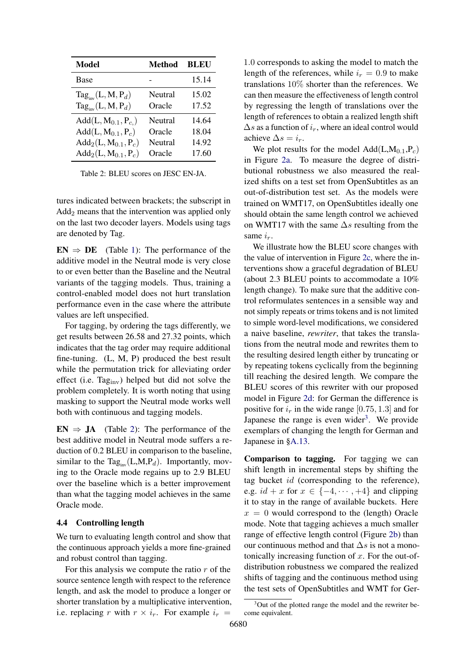<span id="page-4-0"></span>

| Model                                | <b>Method</b> | <b>BLEU</b> |
|--------------------------------------|---------------|-------------|
| Base                                 |               | 15.14       |
| $\text{Tag}_{\text{inv}}(L, M, P_d)$ | Neutral       | 15.02       |
| $\text{Tag}_{\text{inv}}(L, M, P_d)$ | Oracle        | 17.52       |
| $Add(L, M_{0.1}, P_{c.})$            | Neutral       | 14.64       |
| $Add(L, M_{0.1}, P_c)$               | Oracle        | 18.04       |
| $Add_2(L, M_{0.1}, P_c)$             | Neutral       | 14.92       |
| $Add_2(L, M_{0.1}, P_c)$             | Oracle        | 17.60       |

Table 2: BLEU scores on JESC EN-JA.

tures indicated between brackets; the subscript in  $Add_2$  means that the intervention was applied only on the last two decoder layers. Models using tags are denoted by Tag.

 $EN \Rightarrow DE$  (Table [1\)](#page-3-2): The performance of the additive model in the Neutral mode is very close to or even better than the Baseline and the Neutral variants of the tagging models. Thus, training a control-enabled model does not hurt translation performance even in the case where the attribute values are left unspecified.

For tagging, by ordering the tags differently, we get results between 26.58 and 27.32 points, which indicates that the tag order may require additional fine-tuning. (L, M, P) produced the best result while the permutation trick for alleviating order effect (i.e.  $Tag_{inv}$ ) helped but did not solve the problem completely. It is worth noting that using masking to support the Neutral mode works well both with continuous and tagging models.

 $EN \Rightarrow JA$  (Table [2\)](#page-4-0): The performance of the best additive model in Neutral mode suffers a reduction of 0.2 BLEU in comparison to the baseline, similar to the Tag<sub>inv</sub>(L,M,P<sub>d</sub>). Importantly, moving to the Oracle mode regains up to 2.9 BLEU over the baseline which is a better improvement than what the tagging model achieves in the same Oracle mode.

#### 4.4 Controlling length

We turn to evaluating length control and show that the continuous approach yields a more fine-grained and robust control than tagging.

For this analysis we compute the ratio  $r$  of the source sentence length with respect to the reference length, and ask the model to produce a longer or shorter translation by a multiplicative intervention, i.e. replacing r with  $r \times i_r$ . For example  $i_r =$ 

1.0 corresponds to asking the model to match the length of the references, while  $i_r = 0.9$  to make translations 10% shorter than the references. We can then measure the effectiveness of length control by regressing the length of translations over the length of references to obtain a realized length shift  $\Delta s$  as a function of  $i_r$ , where an ideal control would achieve  $\Delta s = i_r$ .

We plot results for the model  $Add(L,M_{0,1},P_c)$ in Figure [2a.](#page-5-0) To measure the degree of distributional robustness we also measured the realized shifts on a test set from OpenSubtitles as an out-of-distribution test set. As the models were trained on WMT17, on OpenSubtitles ideally one should obtain the same length control we achieved on WMT17 with the same  $\Delta s$  resulting from the same  $i_r$ .

We illustrate how the BLEU score changes with the value of intervention in Figure [2c,](#page-5-0) where the interventions show a graceful degradation of BLEU (about 2.3 BLEU points to accommodate a 10% length change). To make sure that the additive control reformulates sentences in a sensible way and not simply repeats or trims tokens and is not limited to simple word-level modifications, we considered a naive baseline, *rewriter*, that takes the translations from the neutral mode and rewrites them to the resulting desired length either by truncating or by repeating tokens cyclically from the beginning till reaching the desired length. We compare the BLEU scores of this rewriter with our proposed model in Figure [2d:](#page-5-0) for German the difference is positive for  $i_r$  in the wide range [0.75, 1.3] and for Japanese the range is even wider<sup>[3](#page-4-1)</sup>. We provide exemplars of changing the length for German and Japanese in [§A.13.](#page-12-0)

Comparison to tagging. For tagging we can shift length in incremental steps by shifting the tag bucket id (corresponding to the reference), e.g.  $id + x$  for  $x \in \{-4, \dots, +4\}$  and clipping it to stay in the range of available buckets. Here  $x = 0$  would correspond to the (length) Oracle mode. Note that tagging achieves a much smaller range of effective length control (Figure [2b\)](#page-5-0) than our continuous method and that  $\Delta s$  is not a monotonically increasing function of  $x$ . For the out-ofdistribution robustness we compared the realized shifts of tagging and the continuous method using the test sets of OpenSubtitles and WMT for Ger-

<span id="page-4-1"></span><sup>&</sup>lt;sup>3</sup>Out of the plotted range the model and the rewriter become equivalent.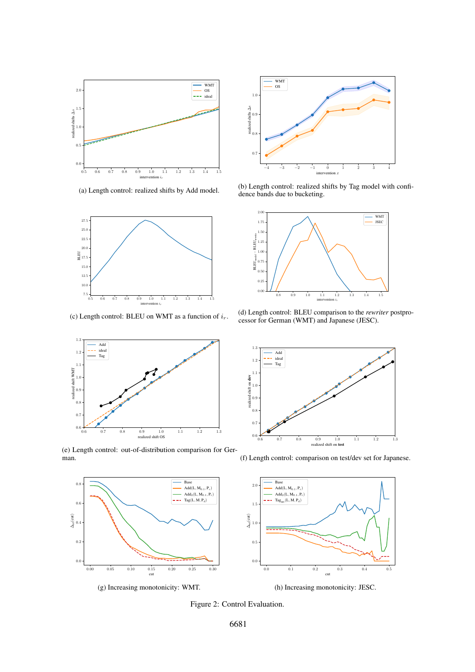<span id="page-5-0"></span>

(a) Length control: realized shifts by Add model.



(c) Length control: BLEU on WMT as a function of  $i_r$ .



(b) Length control: realized shifts by Tag model with confidence bands due to bucketing.



(d) Length control: BLEU comparison to the *rewriter* postprocessor for German (WMT) and Japanese (JESC).



(e) Length control: out-of-distribution comparison for German.



(f) Length control: comparison on test/dev set for Japanese.



(h) Increasing monotonicity: JESC.

Figure 2: Control Evaluation.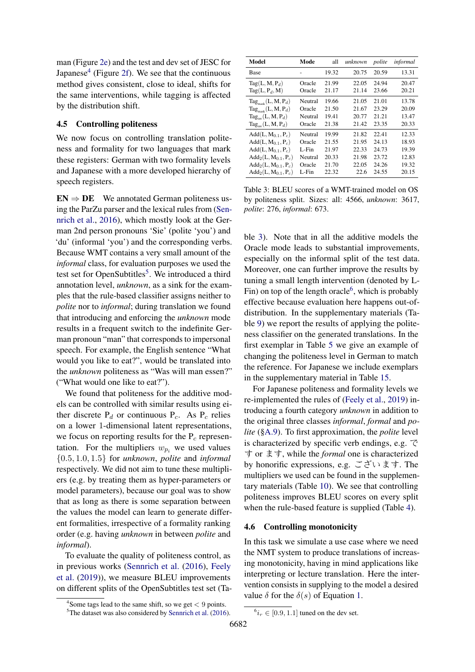man (Figure [2e\)](#page-5-0) and the test and dev set of JESC for Japanese<sup>[4](#page-6-0)</sup> (Figure [2f\)](#page-5-0). We see that the continuous method gives consistent, close to ideal, shifts for the same interventions, while tagging is affected by the distribution shift.

#### 4.5 Controlling politeness

We now focus on controlling translation politeness and formality for two languages that mark these registers: German with two formality levels and Japanese with a more developed hierarchy of speech registers.

 $EN \Rightarrow DE$  We annotated German politeness using the ParZu parser and the lexical rules from [\(Sen](#page-9-3)[nrich et al.,](#page-9-3) [2016\)](#page-9-3), which mostly look at the German 2nd person pronouns 'Sie' (polite 'you') and 'du' (informal 'you') and the corresponding verbs. Because WMT contains a very small amount of the *informal* class, for evaluation purposes we used the test set for OpenSubtitles<sup>[5](#page-6-1)</sup>. We introduced a third annotation level, *unknown*, as a sink for the examples that the rule-based classifier assigns neither to *polite* nor to *informal*; during translation we found that introducing and enforcing the *unknown* mode results in a frequent switch to the indefinite German pronoun "man" that corresponds to impersonal speech. For example, the English sentence "What would you like to eat?", would be translated into the *unknown* politeness as "Was will man essen?" ("What would one like to eat?").

We found that politeness for the additive models can be controlled with similar results using either discrete  $P_d$  or continuous  $P_c$ . As  $P_c$  relies on a lower 1-dimensional latent representations, we focus on reporting results for the  $P_c$  representation. For the multipliers  $w_{p_i}$  we used values {0.5, 1.0, 1.5} for *unknown*, *polite* and *informal* respectively. We did not aim to tune these multipliers (e.g. by treating them as hyper-parameters or model parameters), because our goal was to show that as long as there is some separation between the values the model can learn to generate different formalities, irrespective of a formality ranking order (e.g. having *unknown* in between *polite* and *informal*).

To evaluate the quality of politeness control, as in previous works [\(Sennrich et al.](#page-9-3) [\(2016\)](#page-9-3), [Feely](#page-9-10) [et al.](#page-9-10) [\(2019\)](#page-9-10)), we measure BLEU improvements on different splits of the OpenSubtitles test set (Ta-

<span id="page-6-2"></span>

| Model                                 | Mode     | all   | unknown | polite | informal |
|---------------------------------------|----------|-------|---------|--------|----------|
| Base                                  |          | 19.32 | 20.75   | 20.59  | 13.31    |
| $Tag(L, M, P_d)$                      | Oracle   | 21.99 | 22.05   | 24.94  | 20.47    |
| $Tag(L, P_d, M)$                      | Oracle   | 21.17 | 21.14   | 23.66  | 20.21    |
| $\text{Tag}_{\text{mask}}(L, M, P_d)$ | Neutral  | 19.66 | 21.05   | 21.01  | 13.78    |
| $Tag_{\text{most}}(L, M, P_d)$        | Oracle   | 21.50 | 21.67   | 23.29  | 20.09    |
| $Tag_{im}(L, M, P_d)$                 | Neutral  | 19.41 | 20.77   | 21.21  | 13.47    |
| $Tag_{inv}(L, M, P_d)$                | Oracle   | 21.38 | 21.42   | 23.35  | 20.33    |
| $Add(L, M_{0.1}, P_c)$                | Neutral  | 19.99 | 21.82   | 22.41  | 12.33    |
| $Add(L, M_{0.1}, P_c)$                | Oracle   | 21.55 | 21.95   | 24.13  | 18.93    |
| $Add(L, M_{0.1}, P_c)$                | $L$ -Fin | 21.97 | 22.33   | 24.73  | 19.39    |
| $Add_2(L, M_{0.1}, P_c)$              | Neutral  | 20.33 | 21.98   | 23.72  | 12.83    |
| $Add_2(L, M_{0.1}, P_c)$              | Oracle   | 21.70 | 22.05   | 24.26  | 19.32    |
| $Add_2(L, M_{0.1}, P_c)$              | $L$ -Fin | 22.32 | 22.6    | 24.55  | 20.15    |

Table 3: BLEU scores of a WMT-trained model on OS by politeness split. Sizes: all: 4566, *unknown*: 3617, *polite*: 276, *informal*: 673.

ble [3\)](#page-6-2). Note that in all the additive models the Oracle mode leads to substantial improvements, especially on the informal split of the test data. Moreover, one can further improve the results by tuning a small length intervention (denoted by L-Fin) on top of the length oracle<sup>[6](#page-6-3)</sup>, which is probably effective because evaluation here happens out-ofdistribution. In the supplementary materials (Table [9\)](#page-11-0) we report the results of applying the politeness classifier on the generated translations. In the first exemplar in Table [5](#page-7-0) we give an example of changing the politeness level in German to match the reference. For Japanese we include exemplars in the supplementary material in Table [15.](#page-17-0)

For Japanese politeness and formality levels we re-implemented the rules of [\(Feely et al.,](#page-9-10) [2019\)](#page-9-10) introducing a fourth category *unknown* in addition to the original three classes *informal*, *formal* and *polite* ([§A.9\)](#page-11-1). To first approximation, the *polite* level is characterized by specific verb endings, e.g. で す or ます, while the *formal* one is characterized by honorific expressions, e.g. ございます. The multipliers we used can be found in the supplementary materials (Table [10\)](#page-11-2). We see that controlling politeness improves BLEU scores on every split when the rule-based feature is supplied (Table [4\)](#page-7-1).

#### 4.6 Controlling monotonicity

In this task we simulate a use case where we need the NMT system to produce translations of increasing monotonicity, having in mind applications like interpreting or lecture translation. Here the intervention consists in supplying to the model a desired value  $\delta$  for the  $\delta(s)$  of Equation [1.](#page-2-0)

<span id="page-6-0"></span><sup>&</sup>lt;sup>4</sup>Some tags lead to the same shift, so we get  $< 9$  points.

<span id="page-6-1"></span><sup>&</sup>lt;sup>5</sup>The dataset was also considered by [Sennrich et al.](#page-9-3) [\(2016\)](#page-9-3).

<span id="page-6-3"></span> $^{6}i_r \in [0.9, 1.1]$  tuned on the dev set.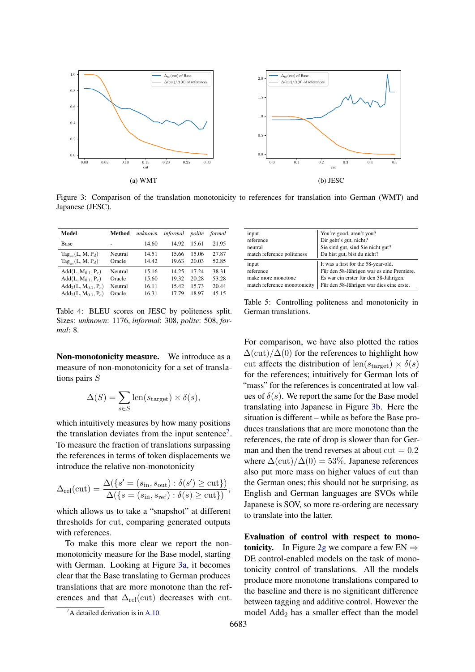<span id="page-7-3"></span>

Figure 3: Comparison of the translation monotonicity to references for translation into German (WMT) and Japanese (JESC).

<span id="page-7-1"></span>

| Model                                                  | Method            | unknown        | informal       | polite         | formal         |
|--------------------------------------------------------|-------------------|----------------|----------------|----------------|----------------|
| Base                                                   | ٠                 | 14.60          | 14.92          | 15.61          | 21.95          |
| $Tag_{\text{max}}(L, M, P_d)$<br>$Tag_{im}(L, M, P_d)$ | Neutral<br>Oracle | 14.51<br>14.42 | 15.66<br>19.63 | 15.06<br>20.03 | 27.87<br>52.85 |
|                                                        |                   |                | 14 25          | 17 24          |                |
| $Add(L, M_{0.1}, P_c)$<br>$Add(L, M_{0.1}, P_c)$       | Neutral<br>Oracle | 15.16<br>15.60 | 19.32          | 20.28          | 38.31<br>53.28 |
| $Add_2(L, M_{0.1}, P_c)$<br>$Add_2(L, M_{0.1}, P_c)$   | Neutral<br>Oracle | 16.11<br>16.31 | 15.42<br>1779  | 15.73<br>18.97 | 20.44<br>45.15 |

<span id="page-7-0"></span>input You're good, aren't you?<br>
Pir geht's gut. nicht? reference Dir geht's gut, nicht?<br>
Nie sind out sind Sie Sie sind gut, sind Sie nicht gut?<br>Du bist gut, bist du nicht? match reference politeness input It was a first for the 58-year-old.<br>Funder 58-Jährigen war es eine Für den 58-Jährigen war es eine Premiere. make more monotone Es war ein erster für den 58-Jährigen.<br>
Ein den 58-Jährigen war dies eine ers Für den 58-Jährigen war dies eine erste.

Table 4: BLEU scores on JESC by politeness split. Sizes: *unknown*: 1176, *informal*: 308, *polite*: 508, *formal*: 8.

Non-monotonicity measure. We introduce as a measure of non-monotonicity for a set of translations pairs S

$$
\Delta(S) = \sum_{s \in S} \text{len}(s_{\text{target}}) \times \delta(s),
$$

which intuitively measures by how many positions the translation deviates from the input sentence<sup>[7](#page-7-2)</sup>. To measure the fraction of translations surpassing the references in terms of token displacements we introduce the relative non-monotonicity

$$
\Delta_{\text{rel}}(\text{cut}) = \frac{\Delta(\{s' = (s_{\text{in}}, s_{\text{out}}) : \delta(s') \ge \text{cut}\})}{\Delta(\{s = (s_{\text{in}}, s_{\text{ref}}) : \delta(s) \ge \text{cut}\})},
$$

which allows us to take a "snapshot" at different thresholds for cut, comparing generated outputs with references.

To make this more clear we report the nonmonotonicity measure for the Base model, starting with German. Looking at Figure [3a,](#page-7-3) it becomes clear that the Base translating to German produces translations that are more monotone than the references and that  $\Delta_{rel}(cut)$  decreases with cut.

Table 5: Controlling politeness and monotonicity in German translations.

For comparison, we have also plotted the ratios  $\Delta(\text{cut})/\Delta(0)$  for the references to highlight how cut affects the distribution of len( $s_{\text{target}}$ )  $\times \delta(s)$ for the references; intuitively for German lots of "mass" for the references is concentrated at low values of  $\delta(s)$ . We report the same for the Base model translating into Japanese in Figure [3b.](#page-7-3) Here the situation is different – while as before the Base produces translations that are more monotone than the references, the rate of drop is slower than for German and then the trend reverses at about  $cut = 0.2$ where  $\Delta(\text{cut})/\Delta(0) = 53\%$ . Japanese references also put more mass on higher values of cut than the German ones; this should not be surprising, as English and German languages are SVOs while Japanese is SOV, so more re-ordering are necessary to translate into the latter.

Evaluation of control with respect to mono-tonicity. In Figure [2g](#page-5-0) we compare a few  $EN \Rightarrow$ DE control-enabled models on the task of monotonicity control of translations. All the models produce more monotone translations compared to the baseline and there is no significant difference between tagging and additive control. However the model Add<sup>2</sup> has a smaller effect than the model

<span id="page-7-2"></span> ${}^{7}$ A detailed derivation is in [A.10.](#page-11-3)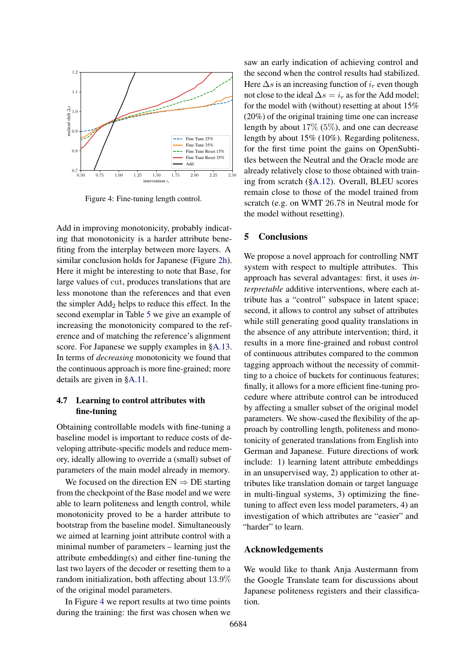<span id="page-8-0"></span>

Figure 4: Fine-tuning length control.

Add in improving monotonicity, probably indicating that monotonicity is a harder attribute benefiting from the interplay between more layers. A similar conclusion holds for Japanese (Figure [2h\)](#page-5-0). Here it might be interesting to note that Base, for large values of cut, produces translations that are less monotone than the references and that even the simpler  $\text{Add}_2$  helps to reduce this effect. In the second exemplar in Table [5](#page-7-0) we give an example of increasing the monotonicity compared to the reference and of matching the reference's alignment score. For Japanese we supply examples in [§A.13.](#page-12-0) In terms of *decreasing* monotonicity we found that the continuous approach is more fine-grained; more details are given in [§A.11.](#page-12-1)

# 4.7 Learning to control attributes with fine-tuning

Obtaining controllable models with fine-tuning a baseline model is important to reduce costs of developing attribute-specific models and reduce memory, ideally allowing to override a (small) subset of parameters of the main model already in memory.

We focused on the direction  $EN \Rightarrow DE$  starting from the checkpoint of the Base model and we were able to learn politeness and length control, while monotonicity proved to be a harder attribute to bootstrap from the baseline model. Simultaneously we aimed at learning joint attribute control with a minimal number of parameters – learning just the attribute embedding(s) and either fine-tuning the last two layers of the decoder or resetting them to a random initialization, both affecting about 13.9% of the original model parameters.

In Figure [4](#page-8-0) we report results at two time points during the training: the first was chosen when we saw an early indication of achieving control and the second when the control results had stabilized. Here  $\Delta s$  is an increasing function of  $i_r$  even though not close to the ideal  $\Delta s = i_r$  as for the Add model; for the model with (without) resetting at about 15% (20%) of the original training time one can increase length by about 17% (5%), and one can decrease length by about 15% (10%). Regarding politeness, for the first time point the gains on OpenSubtitles between the Neutral and the Oracle mode are already relatively close to those obtained with training from scratch ([§A.12\)](#page-12-2). Overall, BLEU scores remain close to those of the model trained from scratch (e.g. on WMT 26.78 in Neutral mode for the model without resetting).

#### 5 Conclusions

We propose a novel approach for controlling NMT system with respect to multiple attributes. This approach has several advantages: first, it uses *interpretable* additive interventions, where each attribute has a "control" subspace in latent space; second, it allows to control any subset of attributes while still generating good quality translations in the absence of any attribute intervention; third, it results in a more fine-grained and robust control of continuous attributes compared to the common tagging approach without the necessity of committing to a choice of buckets for continuous features; finally, it allows for a more efficient fine-tuning procedure where attribute control can be introduced by affecting a smaller subset of the original model parameters. We show-cased the flexibility of the approach by controlling length, politeness and monotonicity of generated translations from English into German and Japanese. Future directions of work include: 1) learning latent attribute embeddings in an unsupervised way, 2) application to other attributes like translation domain or target language in multi-lingual systems, 3) optimizing the finetuning to affect even less model parameters, 4) an investigation of which attributes are "easier" and "harder" to learn.

## Acknowledgements

We would like to thank Anja Austermann from the Google Translate team for discussions about Japanese politeness registers and their classification.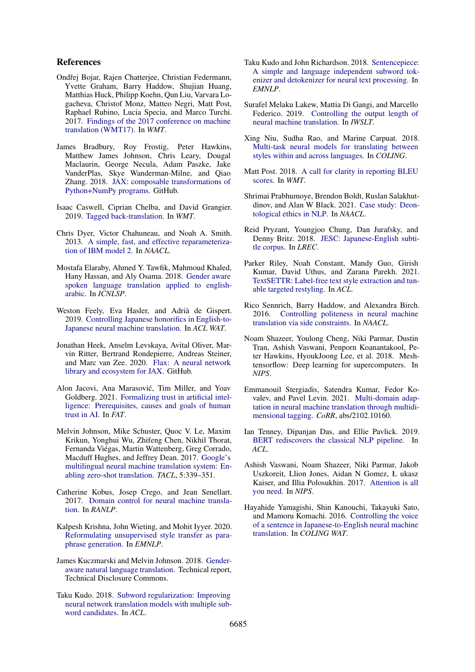### References

- <span id="page-9-18"></span>Ondřej Bojar, Rajen Chatterjee, Christian Federmann, Yvette Graham, Barry Haddow, Shujian Huang, Matthias Huck, Philipp Koehn, Qun Liu, Varvara Logacheva, Christof Monz, Matteo Negri, Matt Post, Raphael Rubino, Lucia Specia, and Marco Turchi. 2017. [Findings of the 2017 conference on machine](http://www.aclweb.org/anthology/W17-4717) [translation \(WMT17\).](http://www.aclweb.org/anthology/W17-4717) In *WMT*.
- <span id="page-9-21"></span>James Bradbury, Roy Frostig, Peter Hawkins, Matthew James Johnson, Chris Leary, Dougal Maclaurin, George Necula, Adam Paszke, Jake VanderPlas, Skye Wanderman-Milne, and Qiao Zhang. 2018. [JAX: composable transformations of](http://github.com/google/jax) [Python+NumPy programs.](http://github.com/google/jax) GitHub.
- <span id="page-9-6"></span>Isaac Caswell, Ciprian Chelba, and David Grangier. 2019. [Tagged back-translation.](http://arxiv.org/abs/1906.06442) In *WMT*.
- <span id="page-9-17"></span>Chris Dyer, Victor Chahuneau, and Noah A. Smith. 2013. [A simple, fast, and effective reparameteriza](https://www.aclweb.org/anthology/N13-1073)[tion of IBM model 2.](https://www.aclweb.org/anthology/N13-1073) In *NAACL*.
- <span id="page-9-8"></span>Mostafa Elaraby, Ahmed Y. Tawfik, Mahmoud Khaled, Hany Hassan, and Aly Osama. 2018. [Gender aware](https://doi.org/10.1109/ICNLSP.2018.8374387) [spoken language translation applied to english](https://doi.org/10.1109/ICNLSP.2018.8374387)[arabic.](https://doi.org/10.1109/ICNLSP.2018.8374387) In *ICNLSP*.
- <span id="page-9-10"></span>Weston Feely, Eva Hasler, and Adrià de Gispert. 2019. [Controlling Japanese honorifics in English-to-](https://doi.org/10.18653/v1/D19-5203)[Japanese neural machine translation.](https://doi.org/10.18653/v1/D19-5203) In *ACL WAT*.
- <span id="page-9-22"></span>Jonathan Heek, Anselm Levskaya, Avital Oliver, Marvin Ritter, Bertrand Rondepierre, Andreas Steiner, and Marc van Zee. 2020. [Flax: A neural network](http://github.com/google/flax) [library and ecosystem for JAX.](http://github.com/google/flax) GitHub.
- <span id="page-9-1"></span>Alon Jacovi, Ana Marasović, Tim Miller, and Yoav Goldberg. 2021. [Formalizing trust in artificial intel](http://arxiv.org/abs/2010.07487)[ligence: Prerequisites, causes and goals of human](http://arxiv.org/abs/2010.07487) [trust in AI.](http://arxiv.org/abs/2010.07487) In *FAT*.
- <span id="page-9-4"></span>Melvin Johnson, Mike Schuster, Quoc V. Le, Maxim Krikun, Yonghui Wu, Zhifeng Chen, Nikhil Thorat, Fernanda Viégas, Martin Wattenberg, Greg Corrado, Macduff Hughes, and Jeffrey Dean. 2017. [Google's](https://doi.org/10.1162/tacl_a_00065) [multilingual neural machine translation system: En](https://doi.org/10.1162/tacl_a_00065)[abling zero-shot translation.](https://doi.org/10.1162/tacl_a_00065) *TACL*, 5:339–351.
- <span id="page-9-2"></span>Catherine Kobus, Josep Crego, and Jean Senellart. 2017. [Domain control for neural machine transla](http://arxiv.org/abs/1612.06140)[tion.](http://arxiv.org/abs/1612.06140) In *RANLP*.
- <span id="page-9-13"></span>Kalpesh Krishna, John Wieting, and Mohit Iyyer. 2020. [Reformulating unsupervised style transfer as para](http://arxiv.org/abs/2010.05700)[phrase generation.](http://arxiv.org/abs/2010.05700) In *EMNLP*.
- <span id="page-9-7"></span>James Kuczmarski and Melvin Johnson. 2018. [Gender](https://www.tdcommons.org/dpubs_series/1577)[aware natural language translation.](https://www.tdcommons.org/dpubs_series/1577) Technical report, Technical Disclosure Commons.
- <span id="page-9-23"></span>Taku Kudo. 2018. [Subword regularization: Improving](https://doi.org/10.18653/v1/P18-1007) [neural network translation models with multiple sub](https://doi.org/10.18653/v1/P18-1007)[word candidates.](https://doi.org/10.18653/v1/P18-1007) In *ACL*.
- <span id="page-9-24"></span>Taku Kudo and John Richardson. 2018. [Sentencepiece:](http://arxiv.org/abs/1808.06226) [A simple and language independent subword tok](http://arxiv.org/abs/1808.06226)[enizer and detokenizer for neural text processing.](http://arxiv.org/abs/1808.06226) In *EMNLP*.
- <span id="page-9-5"></span>Surafel Melaku Lakew, Mattia Di Gangi, and Marcello Federico. 2019. [Controlling the output length of](http://arxiv.org/abs/1910.10408) [neural machine translation.](http://arxiv.org/abs/1910.10408) In *IWSLT*.
- <span id="page-9-11"></span>Xing Niu, Sudha Rao, and Marine Carpuat. 2018. [Multi-task neural models for translating between](https://www.aclweb.org/anthology/C18-1086) [styles within and across languages.](https://www.aclweb.org/anthology/C18-1086) In *COLING*.
- <span id="page-9-20"></span>Matt Post. 2018. [A call for clarity in reporting BLEU](https://www.aclweb.org/anthology/W18-6319) [scores.](https://www.aclweb.org/anthology/W18-6319) In *WMT*.
- <span id="page-9-0"></span>Shrimai Prabhumoye, Brendon Boldt, Ruslan Salakhutdinov, and Alan W Black. 2021. [Case study: Deon](http://arxiv.org/abs/2010.04658)[tological ethics in NLP.](http://arxiv.org/abs/2010.04658) In *NAACL*.
- <span id="page-9-19"></span>Reid Pryzant, Youngjoo Chung, Dan Jurafsky, and Denny Britz. 2018. [JESC: Japanese-English subti](https://www.aclweb.org/anthology/L18-1182)[tle corpus.](https://www.aclweb.org/anthology/L18-1182) In *LREC*.
- <span id="page-9-14"></span>Parker Riley, Noah Constant, Mandy Guo, Girish Kumar, David Uthus, and Zarana Parekh. 2021. [TextSETTR: Label-free text style extraction and tun](http://arxiv.org/abs/2010.03802)[able targeted restyling.](http://arxiv.org/abs/2010.03802) In *ACL*.
- <span id="page-9-3"></span>Rico Sennrich, Barry Haddow, and Alexandra Birch. 2016. [Controlling politeness in neural machine](https://doi.org/10.18653/v1/N16-1005) [translation via side constraints.](https://doi.org/10.18653/v1/N16-1005) In *NAACL*.
- <span id="page-9-25"></span>Noam Shazeer, Youlong Cheng, Niki Parmar, Dustin Tran, Ashish Vaswani, Penporn Koanantakool, Peter Hawkins, HyoukJoong Lee, et al. 2018. Meshtensorflow: Deep learning for supercomputers. In *NIPS*.
- <span id="page-9-12"></span>Emmanouil Stergiadis, Satendra Kumar, Fedor Kovalev, and Pavel Levin. 2021. [Multi-domain adap](https://arxiv.org/abs/2102.10160)[tation in neural machine translation through multidi](https://arxiv.org/abs/2102.10160)[mensional tagging.](https://arxiv.org/abs/2102.10160) *CoRR*, abs/2102.10160.
- <span id="page-9-16"></span>Ian Tenney, Dipanjan Das, and Ellie Pavlick. 2019. [BERT rediscovers the classical NLP pipeline.](http://arxiv.org/abs/1905.05950) In *ACL*.
- <span id="page-9-15"></span>Ashish Vaswani, Noam Shazeer, Niki Parmar, Jakob Uszkoreit, Llion Jones, Aidan N Gomez, Ł ukasz Kaiser, and Illia Polosukhin. 2017. [Attention is all](https://proceedings.neurips.cc/paper/2017/file/3f5ee243547dee91fbd053c1c4a845aa-Paper.pdf) [you need.](https://proceedings.neurips.cc/paper/2017/file/3f5ee243547dee91fbd053c1c4a845aa-Paper.pdf) In *NIPS*.
- <span id="page-9-9"></span>Hayahide Yamagishi, Shin Kanouchi, Takayuki Sato, and Mamoru Komachi. 2016. [Controlling the voice](https://www.aclweb.org/anthology/W16-4620) [of a sentence in Japanese-to-English neural machine](https://www.aclweb.org/anthology/W16-4620) [translation.](https://www.aclweb.org/anthology/W16-4620) In *COLING WAT*.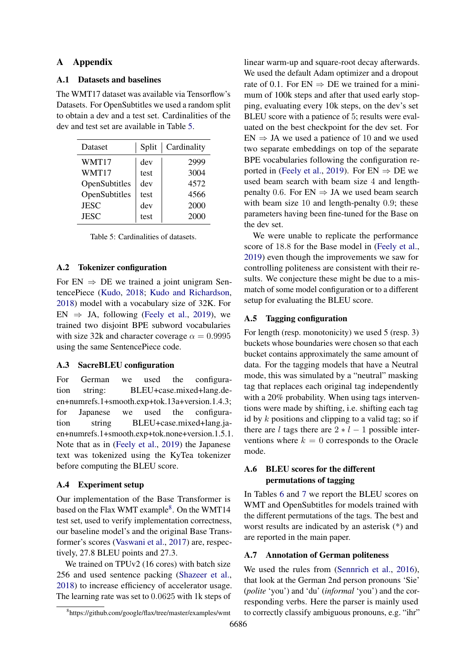# A Appendix

## A.1 Datasets and baselines

The WMT17 dataset was available via Tensorflow's Datasets. For OpenSubtitles we used a random split to obtain a dev and a test set. Cardinalities of the dev and test set are available in Table [5.](#page-10-2)

<span id="page-10-2"></span>

| Dataset       | Split | Cardinality |
|---------------|-------|-------------|
| WMT17         | dev   | 2999        |
| WMT17         | test  | 3004        |
| OpenSubtitles | dev   | 4572        |
| OpenSubtitles | test  | 4566        |
| <b>JESC</b>   | dev   | 2000        |
| <b>JESC</b>   | test  | 2000        |

Table 5: Cardinalities of datasets.

#### A.2 Tokenizer configuration

For  $EN \Rightarrow DE$  we trained a joint unigram SentencePiece [\(Kudo,](#page-9-23) [2018;](#page-9-23) [Kudo and Richardson,](#page-9-24) [2018\)](#page-9-24) model with a vocabulary size of 32K. For  $EN \Rightarrow JA$ , following [\(Feely et al.,](#page-9-10) [2019\)](#page-9-10), we trained two disjoint BPE subword vocabularies with size 32k and character coverage  $\alpha = 0.9995$ using the same SentencePiece code.

## <span id="page-10-1"></span>A.3 SacreBLEU configuration

For German we used the configuration string: BLEU+case.mixed+lang.deen+numrefs.1+smooth.exp+tok.13a+version.1.4.3; for Japanese we used the configuration string BLEU+case.mixed+lang.jaen+numrefs.1+smooth.exp+tok.none+version.1.5.1. Note that as in [\(Feely et al.,](#page-9-10) [2019\)](#page-9-10) the Japanese text was tokenized using the KyTea tokenizer before computing the BLEU score.

## <span id="page-10-0"></span>A.4 Experiment setup

Our implementation of the Base Transformer is based on the Flax WMT example<sup>[8](#page-10-3)</sup>. On the WMT14 test set, used to verify implementation correctness, our baseline model's and the original Base Transformer's scores [\(Vaswani et al.,](#page-9-15) [2017\)](#page-9-15) are, respectively, 27.8 BLEU points and 27.3.

We trained on TPUv2 (16 cores) with batch size 256 and used sentence packing [\(Shazeer et al.,](#page-9-25) [2018\)](#page-9-25) to increase efficiency of accelerator usage. The learning rate was set to 0.0625 with 1k steps of

linear warm-up and square-root decay afterwards. We used the default Adam optimizer and a dropout rate of 0.1. For  $EN \Rightarrow DE$  we trained for a minimum of 100k steps and after that used early stopping, evaluating every 10k steps, on the dev's set BLEU score with a patience of 5; results were evaluated on the best checkpoint for the dev set. For  $EN \Rightarrow JA$  we used a patience of 10 and we used two separate embeddings on top of the separate BPE vocabularies following the configuration re-ported in [\(Feely et al.,](#page-9-10) [2019\)](#page-9-10). For  $EN \Rightarrow DE$  we used beam search with beam size 4 and lengthpenalty 0.6. For  $EN \Rightarrow JA$  we used beam search with beam size 10 and length-penalty 0.9; these parameters having been fine-tuned for the Base on the dev set.

We were unable to replicate the performance score of 18.8 for the Base model in [\(Feely et al.,](#page-9-10) [2019\)](#page-9-10) even though the improvements we saw for controlling politeness are consistent with their results. We conjecture these might be due to a mismatch of some model configuration or to a different setup for evaluating the BLEU score.

#### A.5 Tagging configuration

For length (resp. monotonicity) we used 5 (resp. 3) buckets whose boundaries were chosen so that each bucket contains approximately the same amount of data. For the tagging models that have a Neutral mode, this was simulated by a "neutral" masking tag that replaces each original tag independently with a 20% probability. When using tags interventions were made by shifting, i.e. shifting each tag id by  $k$  positions and clipping to a valid tag; so if there are l tags there are  $2 * l - 1$  possible interventions where  $k = 0$  corresponds to the Oracle mode.

# A.6 BLEU scores for the different permutations of tagging

In Tables [6](#page-11-4) and [7](#page-11-5) we report the BLEU scores on WMT and OpenSubtitles for models trained with the different permutations of the tags. The best and worst results are indicated by an asterisk (\*) and are reported in the main paper.

## A.7 Annotation of German politeness

We used the rules from [\(Sennrich et al.,](#page-9-3) [2016\)](#page-9-3), that look at the German 2nd person pronouns 'Sie' (*polite* 'you') and 'du' (*informal* 'you') and the corresponding verbs. Here the parser is mainly used to correctly classify ambiguous pronouns, e.g. "ihr"

<span id="page-10-3"></span><sup>8</sup> https://github.com/google/flax/tree/master/examples/wmt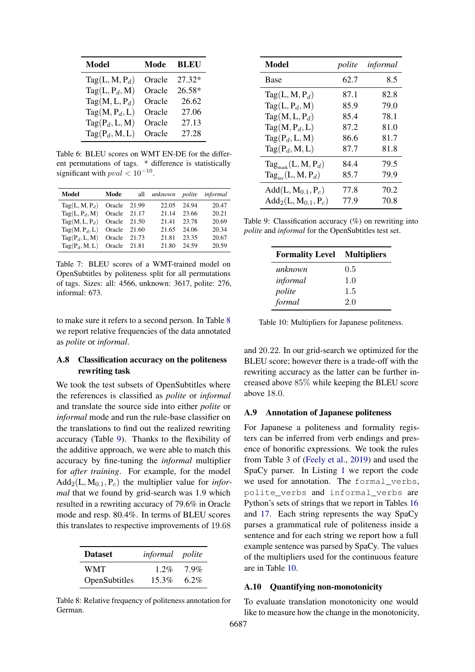<span id="page-11-4"></span>

| <b>Model</b>     | Mode   | <b>BLEU</b> |
|------------------|--------|-------------|
| $Tag(L, M, P_d)$ | Oracle | $27.32*$    |
| $Tag(L, P_d, M)$ | Oracle | $26.58*$    |
| $Tag(M, L, P_d)$ | Oracle | 26.62       |
| $Tag(M, P_d, L)$ | Oracle | 27.06       |
| $Tag(P_d, L, M)$ | Oracle | 27.13       |
| $Tag(P_d, M, L)$ | Oracle | 27.28       |

Table 6: BLEU scores on WMT EN-DE for the different permutations of tags. \* difference is statistically significant with  $pval < 10^{-10}$ .

<span id="page-11-5"></span>

| Model            | Mode   | all   | unknown polite informal |       |       |
|------------------|--------|-------|-------------------------|-------|-------|
| $Tag(L, M, P_d)$ | Oracle | 21.99 | 22.05                   | 24.94 | 20.47 |
| $Tag(L, P_d, M)$ | Oracle | 21.17 | 21.14                   | 23.66 | 20.21 |
| $Tag(M, L, P_d)$ | Oracle | 21.50 | 21.41                   | 23.78 | 20.69 |
| $Tag(M, P_d, L)$ | Oracle | 21.60 | 21.65                   | 24.06 | 20.34 |
| $Tag(P_d, L, M)$ | Oracle | 21.73 | 21.81                   | 23.35 | 20.67 |
| $Tag(P_d, M, L)$ | Oracle | 21.81 | 21.80                   | 24.59 | 20.59 |

Table 7: BLEU scores of a WMT-trained model on OpenSubtitles by politeness split for all permutations of tags. Sizes: all: 4566, unknown: 3617, polite: 276, informal: 673.

to make sure it refers to a second person. In Table [8](#page-11-6) we report relative frequencies of the data annotated as *polite* or *informal*.

# A.8 Classification accuracy on the politeness rewriting task

We took the test subsets of OpenSubtitles where the references is classified as *polite* or *informal* and translate the source side into either *polite* or *informal* mode and run the rule-base classifier on the translations to find out the realized rewriting accuracy (Table [9\)](#page-11-0). Thanks to the flexibility of the additive approach, we were able to match this accuracy by fine-tuning the *informal* multiplier for *after training*. For example, for the model  $Add_2(L, M_{0.1}, P_c)$  the multiplier value for *informal* that we found by grid-search was 1.9 which resulted in a rewriting accuracy of 79.6% in Oracle mode and resp. 80.4%. In terms of BLEU scores this translates to respective improvements of 19.68

<span id="page-11-6"></span>

| <b>Dataset</b> | <i>informal polite</i> |         |
|----------------|------------------------|---------|
| WMT            | $1.2\%$                | $7.9\%$ |
| OpenSubtitles  | $15.3\%$               | $6.2\%$ |

Table 8: Relative frequency of politeness annotation for German.

<span id="page-11-0"></span>

| Model                                 | polite | informal |
|---------------------------------------|--------|----------|
| <b>Base</b>                           | 62.7   | 8.5      |
| $Tag(L, M, P_d)$                      | 87.1   | 82.8     |
| $Tag(L, P_d, M)$                      | 85.9   | 79.0     |
| $Tag(M, L, P_d)$                      | 85.4   | 78.1     |
| $Tag(M, P_d, L)$                      | 87.2   | 81.0     |
| $Tag(P_d, L, M)$                      | 86.6   | 81.7     |
| $Tag(P_d, M, L)$                      | 87.7   | 81.8     |
| $\text{Tag}_{\text{mask}}(L, M, P_d)$ | 84.4   | 79.5     |
| $\text{Tag}_{\text{inv}}(L, M, P_d)$  | 85.7   | 79.9     |
| $Add(L, M_{0.1}, P_c)$                | 77.8   | 70.2     |
| $Add_2(L, M_{0.1}, P_c)$              | 77.9   | 70.8     |

<span id="page-11-2"></span>Table 9: Classification accuracy (%) on rewriting into *polite* and *informal* for the OpenSubtitles test set.

| <b>Formality Level Multipliers</b> |     |
|------------------------------------|-----|
| unknown                            | 0.5 |
| informal                           | 1.0 |
| polite                             | 1.5 |
| formal                             | 2.0 |

Table 10: Multipliers for Japanese politeness.

and 20.22. In our grid-search we optimized for the BLEU score; however there is a trade-off with the rewriting accuracy as the latter can be further increased above 85% while keeping the BLEU score above 18.0.

#### <span id="page-11-1"></span>A.9 Annotation of Japanese politeness

For Japanese a politeness and formality registers can be inferred from verb endings and presence of honorific expressions. We took the rules from Table 3 of [\(Feely et al.,](#page-9-10) [2019\)](#page-9-10) and used the SpaCy parser. In Listing [1](#page-20-0) we report the code we used for annotation. The formal verbs, polite verbs and informal verbs are Python's sets of strings that we report in Tables [16](#page-18-0) and [17.](#page-19-0) Each string represents the way SpaCy parses a grammatical rule of politeness inside a sentence and for each string we report how a full example sentence was parsed by SpaCy. The values of the multipliers used for the continuous feature are in Table [10.](#page-11-2)

#### <span id="page-11-3"></span>A.10 Quantifying non-monotonicity

To evaluate translation monotonicity one would like to measure how the change in the monotonicity,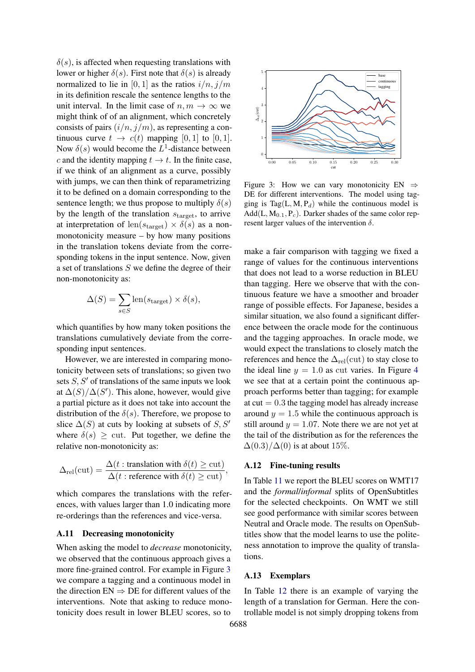$\delta(s)$ , is affected when requesting translations with lower or higher  $\delta(s)$ . First note that  $\delta(s)$  is already normalized to lie in [0, 1] as the ratios  $i/n$ ,  $j/m$ in its definition rescale the sentence lengths to the unit interval. In the limit case of  $n, m \to \infty$  we might think of of an alignment, which concretely consists of pairs  $(i/n, j/m)$ , as representing a continuous curve  $t \to c(t)$  mapping [0, 1] to [0, 1]. Now  $\delta(s)$  would become the  $L^1$ -distance between c and the identity mapping  $t \to t$ . In the finite case, if we think of an alignment as a curve, possibly with jumps, we can then think of reparametrizing it to be defined on a domain corresponding to the sentence length; we thus propose to multiply  $\delta(s)$ by the length of the translation  $s_{\text{target}}$ , to arrive at interpretation of len $(s_{\text{target}}) \times \delta(s)$  as a nonmonotonicity measure – by how many positions in the translation tokens deviate from the corresponding tokens in the input sentence. Now, given a set of translations S we define the degree of their non-monotonicity as:

$$
\Delta(S) = \sum_{s \in S} \text{len}(s_{\text{target}}) \times \delta(s),
$$

which quantifies by how many token positions the translations cumulatively deviate from the corresponding input sentences.

However, we are interested in comparing monotonicity between sets of translations; so given two sets  $S, S'$  of translations of the same inputs we look at  $\Delta(S)/\Delta(S')$ . This alone, however, would give a partial picture as it does not take into account the distribution of the  $\delta(s)$ . Therefore, we propose to slice  $\Delta(S)$  at cuts by looking at subsets of S, S' where  $\delta(s) \geq$  cut. Put together, we define the relative non-monotonicity as:

$$
\Delta_{\text{rel}}(\text{cut}) = \frac{\Delta(t : \text{translation with } \delta(t) \ge \text{cut})}{\Delta(t : \text{reference with } \delta(t) \ge \text{cut})},
$$

which compares the translations with the references, with values larger than 1.0 indicating more re-orderings than the references and vice-versa.

#### <span id="page-12-1"></span>A.11 Decreasing monotonicity

When asking the model to *decrease* monotonicity, we observed that the continuous approach gives a more fine-grained control. For example in Figure [3](#page-12-3) we compare a tagging and a continuous model in the direction  $EN \Rightarrow DE$  for different values of the interventions. Note that asking to reduce monotonicity does result in lower BLEU scores, so to

<span id="page-12-3"></span>

Figure 3: How we can vary monotonicity EN  $\Rightarrow$ DE for different interventions. The model using tagging is Tag(L, M,  $P_d$ ) while the continuous model is  $Add(L, M_{0.1}, P_c)$ . Darker shades of the same color represent larger values of the intervention  $\delta$ .

make a fair comparison with tagging we fixed a range of values for the continuous interventions that does not lead to a worse reduction in BLEU than tagging. Here we observe that with the continuous feature we have a smoother and broader range of possible effects. For Japanese, besides a similar situation, we also found a significant difference between the oracle mode for the continuous and the tagging approaches. In oracle mode, we would expect the translations to closely match the references and hence the  $\Delta_{\text{rel}}(\text{cut})$  to stay close to the ideal line  $y = 1.0$  as cut varies. In Figure [4](#page-13-0) we see that at a certain point the continuous approach performs better than tagging; for example at  $cut = 0.3$  the tagging model has already increase around  $y = 1.5$  while the continuous approach is still around  $y = 1.07$ . Note there we are not yet at the tail of the distribution as for the references the  $\Delta(0.3)/\Delta(0)$  is at about 15%.

## <span id="page-12-2"></span>A.12 Fine-tuning results

In Table [11](#page-13-1) we report the BLEU scores on WMT17 and the *formal*/*informal* splits of OpenSubtitles for the selected checkpoints. On WMT we still see good performance with similar scores between Neutral and Oracle mode. The results on OpenSubtitles show that the model learns to use the politeness annotation to improve the quality of translations.

#### <span id="page-12-0"></span>A.13 Exemplars

In Table [12](#page-14-0) there is an example of varying the length of a translation for German. Here the controllable model is not simply dropping tokens from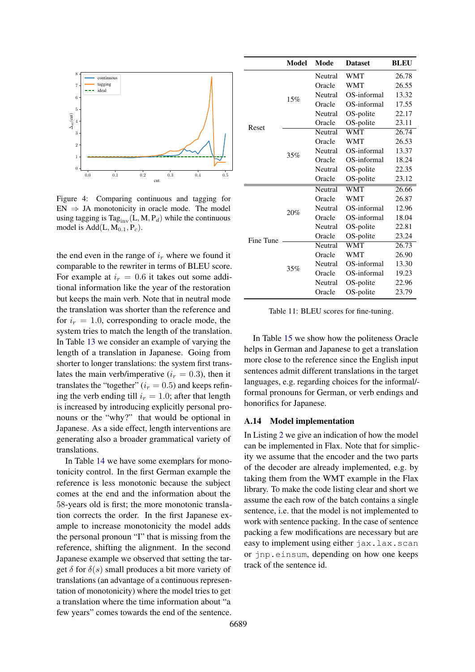<span id="page-13-0"></span>

Figure 4: Comparing continuous and tagging for  $EN \Rightarrow JA$  monotonicity in oracle mode. The model using tagging is Tag<sub>iny</sub>(L, M, P<sub>d</sub>) while the continuous model is  $Add(L, M_{0.1}, P_c)$ .

the end even in the range of  $i_r$  where we found it comparable to the rewriter in terms of BLEU score. For example at  $i_r = 0.6$  it takes out some additional information like the year of the restoration but keeps the main verb. Note that in neutral mode the translation was shorter than the reference and for  $i_r = 1.0$ , corresponding to oracle mode, the system tries to match the length of the translation. In Table [13](#page-15-0) we consider an example of varying the length of a translation in Japanese. Going from shorter to longer translations: the system first translates the main verb/imperative ( $i_r = 0.3$ ), then it translates the "together" ( $i_r = 0.5$ ) and keeps refining the verb ending till  $i_r = 1.0$ ; after that length is increased by introducing explicitly personal pronouns or the "why?" that would be optional in Japanese. As a side effect, length interventions are generating also a broader grammatical variety of translations.

In Table [14](#page-16-0) we have some exemplars for monotonicity control. In the first German example the reference is less monotonic because the subject comes at the end and the information about the 58-years old is first; the more monotonic translation corrects the order. In the first Japanese example to increase monotonicity the model adds the personal pronoun "I" that is missing from the reference, shifting the alignment. In the second Japanese example we observed that setting the target  $\delta$  for  $\delta(s)$  small produces a bit more variety of translations (an advantage of a continuous representation of monotonicity) where the model tries to get a translation where the time information about "a few years" comes towards the end of the sentence.

<span id="page-13-1"></span>

|           | <b>Model</b> | Mode    | <b>Dataset</b>          | <b>BLEU</b> |
|-----------|--------------|---------|-------------------------|-------------|
|           |              | Neutral | WMT                     | 26.78       |
|           |              | Oracle  | WMT                     | 26.55       |
|           | 15%          | Neutral | OS-informal             | 13.32       |
|           |              | Oracle  | OS-informal             | 17.55       |
|           |              | Neutral | OS-polite               | 22.17       |
| Reset     |              | Oracle  | OS-polite               | 23.11       |
|           |              | Neutral | WMT                     | 26.74       |
|           |              | Oracle  | WMT                     | 26.53       |
|           | 35%          | Neutral | OS-informal             | 13.37       |
|           |              | Oracle  | OS-informal             | 18.24       |
|           |              | Neutral | OS-polite               | 22.35       |
|           |              | Oracle  | OS-polite               | 23.12       |
|           | 20%          | Neutral | $\overline{\text{WMT}}$ | 26.66       |
|           |              | Oracle  | WMT                     | 26.87       |
|           |              | Neutral | OS-informal             | 12.96       |
|           |              | Oracle  | OS-informal             | 18.04       |
|           |              | Neutral | OS-polite               | 22.81       |
| Fine Tune |              | Oracle  | OS-polite               | 23.24       |
|           |              | Neutral | <b>WMT</b>              | 26.73       |
|           |              | Oracle  | WMT                     | 26.90       |
|           | 35%          | Neutral | OS-informal             | 13.30       |
|           |              | Oracle  | OS-informal             | 19.23       |
|           |              | Neutral | OS-polite               | 22.96       |
|           |              | Oracle  | OS-polite               | 23.79       |

Table 11: BLEU scores for fine-tuning.

In Table [15](#page-17-0) we show how the politeness Oracle helps in German and Japanese to get a translation more close to the reference since the English input sentences admit different translations in the target languages, e.g. regarding choices for the informal/ formal pronouns for German, or verb endings and honorifics for Japanese.

#### A.14 Model implementation

In Listing [2](#page-20-1) we give an indication of how the model can be implemented in Flax. Note that for simplicity we assume that the encoder and the two parts of the decoder are already implemented, e.g. by taking them from the WMT example in the Flax library. To make the code listing clear and short we assume the each row of the batch contains a single sentence, i.e. that the model is not implemented to work with sentence packing. In the case of sentence packing a few modifications are necessary but are easy to implement using either jax.lax.scan or jnp.einsum, depending on how one keeps track of the sentence id.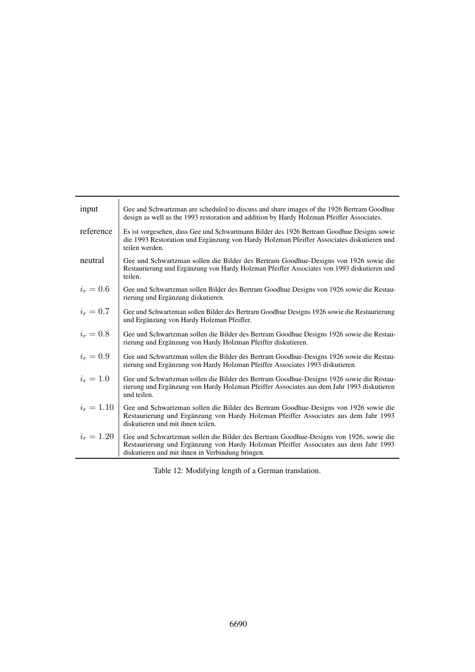<span id="page-14-0"></span>

| input        | Gee and Schwartzman are scheduled to discuss and share images of the 1926 Bertram Goodhue<br>design as well as the 1993 restoration and addition by Hardy Holzman Pfeiffer Associates.                                           |
|--------------|----------------------------------------------------------------------------------------------------------------------------------------------------------------------------------------------------------------------------------|
| reference    | Es ist vorgesehen, dass Gee und Schwartmann Bilder des 1926 Bertram Goodhue Designs sowie<br>die 1993 Restoration und Ergänzung von Hardy Holzman Pfeiffer Associates diskutieren und<br>teilen werden.                          |
| neutral      | Gee und Schwartzman sollen die Bilder des Bertram Goodhue-Designs von 1926 sowie die<br>Restaurierung und Ergänzung von Hardy Holzman Pfeiffer Associates von 1993 diskutieren und<br>teilen.                                    |
| $i_r = 0.6$  | Gee und Schwartzman sollen Bilder des Bertram Goodhue Designs von 1926 sowie die Restau-<br>rierung und Ergänzung diskutieren.                                                                                                   |
| $i_r = 0.7$  | Gee und Schwartzman sollen Bilder des Bertram Goodhue Designs 1926 sowie die Restaurierung<br>und Ergänzung von Hardy Holzman Pfeiffer.                                                                                          |
| $i_r=0.8$    | Gee und Schwartzman sollen die Bilder des Bertram Goodhue Designs 1926 sowie die Restau-<br>rierung und Ergänzung von Hardy Holzman Pfeiffer diskutieren.                                                                        |
| $i_r=0.9$    | Gee und Schwartzman sollen die Bilder des Bertram Goodhue-Designs 1926 sowie die Restau-<br>rierung und Ergänzung von Hardy Holzman Pfeiffer Associates 1993 diskutieren.                                                        |
| $i_r = 1.0$  | Gee und Schwartzman sollen die Bilder des Bertram Goodhue-Designs 1926 sowie die Restau-<br>rierung und Ergänzung von Hardy Holzman Pfeiffer Associates aus dem Jahr 1993 diskutieren<br>und teilen.                             |
| $i_r = 1.10$ | Gee und Schwartzman sollen die Bilder des Bertram Goodhue-Designs von 1926 sowie die<br>Restaurierung und Ergänzung von Hardy Holzman Pfeiffer Associates aus dem Jahr 1993<br>diskutieren und mit ihnen teilen.                 |
| $i_r = 1.20$ | Gee und Schwartzman sollen die Bilder des Bertram Goodhue-Designs von 1926, sowie die<br>Restaurierung und Ergänzung von Hardy Holzman Pfeiffer Associates aus dem Jahr 1993<br>diskutieren und mit ihnen in Verbindung bringen. |

Table 12: Modifying length of a German translation.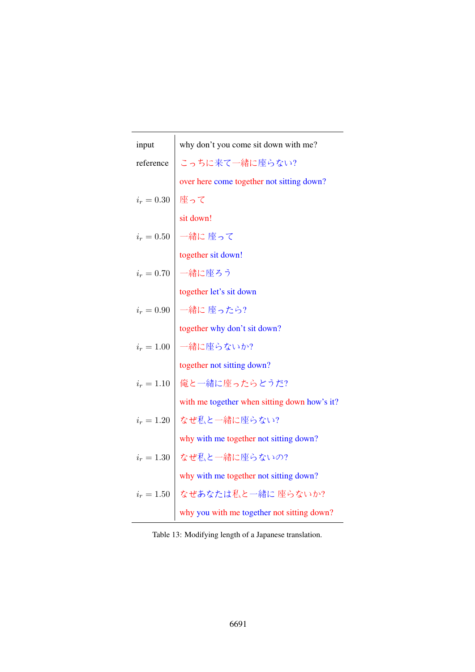<span id="page-15-0"></span>

| input        | why don't you come sit down with me?         |  |
|--------------|----------------------------------------------|--|
| reference    | こっちに来て一緒に座らない?                               |  |
|              | over here come together not sitting down?    |  |
| $i_r = 0.30$ | 座って                                          |  |
|              | sit down!                                    |  |
| $i_r = 0.50$ | 一緒に 座って                                      |  |
|              | together sit down!                           |  |
| $i_r = 0.70$ | 一緒に座ろう                                       |  |
|              | together let's sit down                      |  |
| $i_r = 0.90$ | 一緒に 座ったら?                                    |  |
|              | together why don't sit down?                 |  |
| $i_r = 1.00$ | 一緒に座らないか?                                    |  |
|              | together not sitting down?                   |  |
| $i_r = 1.10$ | 俺と一緒に座ったらどうだ?                                |  |
|              | with me together when sitting down how's it? |  |
| $i_r = 1.20$ | なぜ私と一緒に座らない?                                 |  |
|              | why with me together not sitting down?       |  |
| $i_r = 1.30$ | なぜ私と一緒に座らないの?                                |  |
|              | why with me together not sitting down?       |  |
| $i_r = 1.50$ | なぜあなたは私と一緒に 座らないか?                           |  |
|              | why you with me together not sitting down?   |  |

Table 13: Modifying length of a Japanese translation.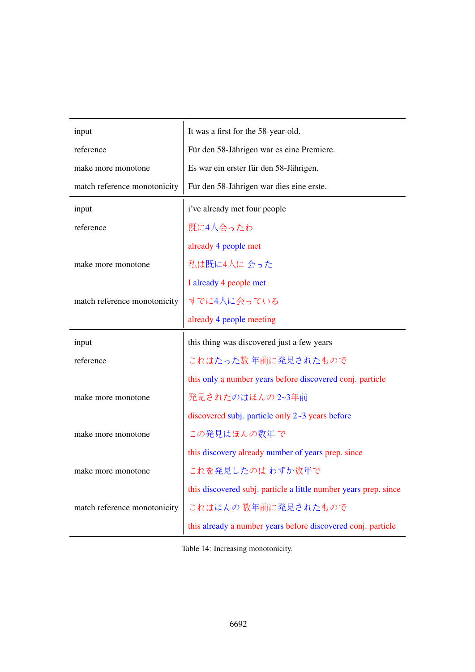<span id="page-16-0"></span>

| input                        | It was a first for the 58-year-old.                              |  |
|------------------------------|------------------------------------------------------------------|--|
| reference                    | Für den 58-Jährigen war es eine Premiere.                        |  |
| make more monotone           | Es war ein erster für den 58-Jährigen.                           |  |
| match reference monotonicity | Für den 58-Jährigen war dies eine erste.                         |  |
| input                        | i've already met four people                                     |  |
| reference                    | 既に4人会ったわ                                                         |  |
|                              | already 4 people met                                             |  |
| make more monotone           | 私は既に4人に 会った                                                      |  |
|                              | I already 4 people met                                           |  |
| match reference monotonicity | すでに4人に会っている                                                      |  |
|                              | already 4 people meeting                                         |  |
|                              |                                                                  |  |
| input                        | this thing was discovered just a few years                       |  |
| reference                    | これはたった数年前に発見されたもので                                               |  |
|                              | this only a number years before discovered conj. particle        |  |
| make more monotone           | 発見されたのはほんの2~3年前                                                  |  |
|                              | discovered subj. particle only 2~3 years before                  |  |
| make more monotone           | この発見はほんの数年で                                                      |  |
|                              | this discovery already number of years prep. since               |  |
| make more monotone           | これを発見したのは わずか数年で                                                 |  |
|                              | this discovered subj. particle a little number years prep. since |  |
| match reference monotonicity | これはほんの数年前に発見されたもので                                               |  |

Table 14: Increasing monotonicity.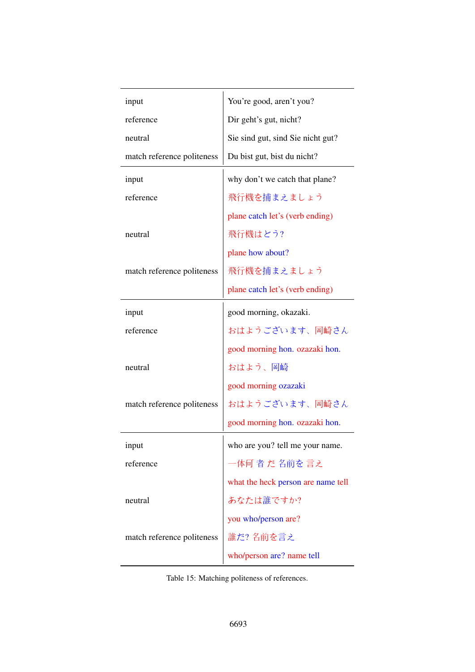<span id="page-17-0"></span>

| input                      | You're good, aren't you?           |
|----------------------------|------------------------------------|
| reference                  | Dir geht's gut, nicht?             |
| neutral                    | Sie sind gut, sind Sie nicht gut?  |
| match reference politeness | Du bist gut, bist du nicht?        |
| input                      | why don't we catch that plane?     |
| reference                  | 飛行機を捕まえましょう                        |
|                            | plane catch let's (verb ending)    |
| neutral                    | 飛行機はどう?                            |
|                            | plane how about?                   |
| match reference politeness | 飛行機を捕まえましょう                        |
|                            | plane catch let's (verb ending)    |
| input                      | good morning, okazaki.             |
| reference                  | おはようございます、岡崎さん                     |
|                            | good morning hon. ozazaki hon.     |
| neutral                    | おはよう、岡崎                            |
|                            | good morning ozazaki               |
| match reference politeness | おはようございます、岡崎さん                     |
|                            | good morning hon. ozazaki hon.     |
| input                      | who are you? tell me your name.    |
| reference                  | -体何 者 だ 名前を 言え                     |
|                            | what the heck person are name tell |
| neutral                    | あなたは誰ですか?                          |
|                            | you who/person are?                |
| match reference politeness | 誰だ?名前を言え                           |
|                            | who/person are? name tell          |

Table 15: Matching politeness of references.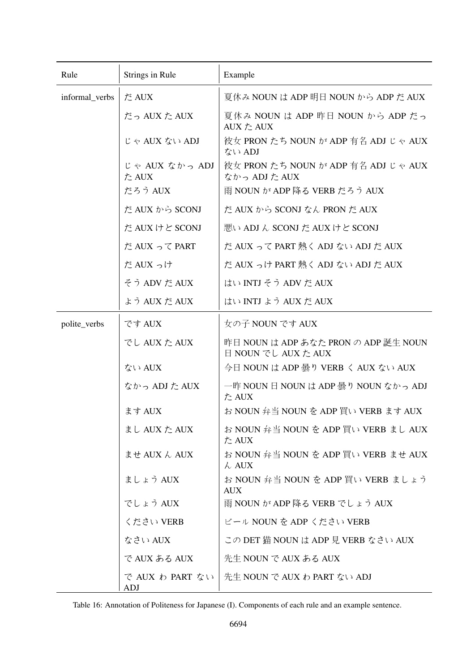<span id="page-18-0"></span>

| Rule           | Strings in Rule         | Example                                                     |
|----------------|-------------------------|-------------------------------------------------------------|
| informal_verbs | だ AUX                   | 夏休み NOUN は ADP 明日 NOUN から ADP だ AUX                         |
|                | だっ AUX た AUX            | 夏休み NOUN は ADP 昨日 NOUN から ADP だっ<br>AUX た AUX               |
|                | じゃ AUX ない ADJ           | 彼女 PRON たち NOUN が ADP 有名 ADJ じゃ AUX<br>ない ADJ               |
|                | じゃ AUX なかっ ADJ<br>た AUX | 彼女 PRON たち NOUN が ADP 有名 ADJ じゃ AUX<br>なかっ ADJ た AUX        |
|                | だろう AUX                 | 雨 NOUN が ADP 降る VERB だろう AUX                                |
|                | だ AUX から SCONJ          | だ AUX から SCONJ なん PRON だ AUX                                |
|                | だ AUX けど SCONJ          | 悪い ADJ ん SCONJ だ AUX けど SCONJ                               |
|                | だ AUX って PART           | だ AUX って PART 熱く ADJ ない ADJ だ AUX                           |
|                | だ AUX っけ                | だ AUX っけ PART 熱く ADJ ない ADJ だ AUX                           |
|                | そう ADV だ AUX            | はい INTJ そう ADV だ AUX                                        |
|                | よう AUX だ AUX            | はい INTJ よう AUX だ AUX                                        |
| polite_verbs   | です AUX                  | 女の子 NOUN です AUX                                             |
|                | でし AUX た AUX            | 昨日 NOUN は ADP あなた PRON の ADP 誕生 NOUN<br>日 NOUN でし AUX た AUX |
|                | ない AUX                  | 今日 NOUN は ADP 曇り VERB く AUX ない AUX                          |
|                | なかっ ADJ た AUX           | 一昨 NOUN 日 NOUN は ADP 曇り NOUN なかっ ADJ<br>た AUX               |
|                | ます AUX                  | お NOUN 弁当 NOUN を ADP 買い VERB ます AUX                         |
|                | まし AUX た AUX            | お NOUN 弁当 NOUN を ADP 買い VERB まし AUX<br>た AUX                |
|                | ませ AUX ん AUX            | お NOUN 弁当 NOUN を ADP 買い VERB ませ AUX<br>$\lambda$ AUX        |
|                | ましょう AUX                | お NOUN 弁当 NOUN を ADP 買い VERB ましょう<br><b>AUX</b>             |
|                | でしょう AUX                | 雨 NOUN が ADP 降る VERB でしょう AUX                               |
|                | ください VERB               | ビール NOUN を ADP ください VERB                                    |
|                | なさい AUX                 | この DET 猫 NOUN は ADP 見 VERB なさい AUX                          |
|                | で AUX ある AUX            | 先生 NOUN で AUX ある AUX                                        |
|                | で AUX わ PART ない<br>ADJ  | 先生 NOUN で AUX わ PART ない ADJ                                 |

Table 16: Annotation of Politeness for Japanese (I). Components of each rule and an example sentence.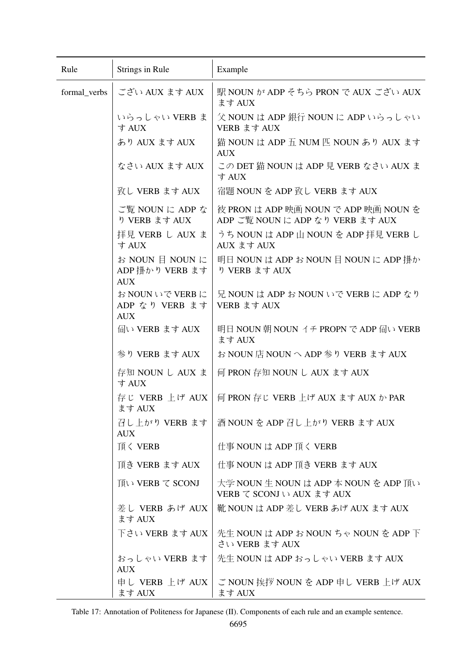<span id="page-19-0"></span>

| Rule         | Strings in Rule                                  | Example                                                                  |
|--------------|--------------------------------------------------|--------------------------------------------------------------------------|
| formal_verbs | ござい AUX ます AUX                                   | 駅 NOUN が ADP そちら PRON で AUX ござい AUX<br>ます AUX                            |
|              | いらっしゃい VERB ま<br>す AUX                           | 父 NOUN は ADP 銀行 NOUN に ADP いらっしゃい<br>VERB ます AUX                         |
|              | あり AUX ます AUX                                    | 猫 NOUN は ADP 五 NUM 匹 NOUN あり AUX ます<br><b>AUX</b>                        |
|              | なさい AUX ます AUX                                   | この DET 猫 NOUN は ADP 見 VERB なさい AUX ま<br>す AUX                            |
|              | 致し VERB ます AUX                                   | 宿題 NOUN を ADP 致し VERB ます AUX                                             |
|              | ご覧 NOUN に ADP な<br>り VERB ます AUX                 | 彼 PRON は ADP 映画 NOUN で ADP 映画 NOUN を<br>ADP ご覧 NOUN に ADP なり VERB ます AUX |
|              | 拝見 VERB し AUX ま<br>す AUX                         | うち NOUN は ADP 山 NOUN を ADP 拝見 VERB し<br>AUX ます AUX                       |
|              | お NOUN 目 NOUN に<br>ADP 掛かり VERB ます<br><b>AUX</b> | 明日 NOUN は ADP お NOUN 目 NOUN に ADP 掛か<br>り VERB ます AUX                    |
|              | お NOUN いで VERB に<br>ADP なり VERB ます<br><b>AUX</b> | 兄 NOUN は ADP お NOUN いで VERB に ADP なり<br>VERB ます AUX                      |
|              | 伺い VERB ます AUX                                   | 明日 NOUN 朝 NOUN イチ PROPN で ADP 伺い VERB<br>ます AUX                          |
|              | 参り VERB ます AUX                                   | お NOUN 店 NOUN へ ADP 参り VERB ます AUX                                       |
|              | 存知 NOUN し AUX ま<br>す AUX                         | 何 PRON 存知 NOUN し AUX ます AUX                                              |
|              | 存じ VERB 上げ AUX<br>ます AUX                         | 何 PRON 存じ VERB 上げ AUX ます AUX か PAR                                       |
|              | 召し上がり VERB ます<br><b>AUX</b>                      | 酒 NOUN を ADP 召し上がり VERB ます AUX                                           |
|              | 頂く VERB                                          | 仕事 NOUN は ADP 頂く VERB                                                    |
|              | 頂き VERB ます AUX                                   | 仕事 NOUN は ADP 頂き VERB ます AUX                                             |
|              | 頂い VERB て SCONJ                                  | 大学 NOUN 生 NOUN は ADP 本 NOUN を ADP 頂い<br>VERB て SCONJ い AUX ます AUX        |
|              | 差し VERB あげ AUX<br>ます AUX                         | 靴 NOUN は ADP 差し VERB あげ AUX ます AUX                                       |
|              | 下さい VERB ます AUX                                  | 先生 NOUN は ADP お NOUN ちゃ NOUN を ADP 下<br>さい VERB ます AUX                   |
|              | おっしゃい VERB ます<br><b>AUX</b>                      | 先生 NOUN は ADP おっしゃい VERB ます AUX                                          |
|              | 申し VERB 上げ AUX<br>ます AUX                         | ご NOUN 挨拶 NOUN を ADP 申し VERB 上げ AUX<br>ます AUX                            |

Table 17: Annotation of Politeness for Japanese (II). Components of each rule and an example sentence.